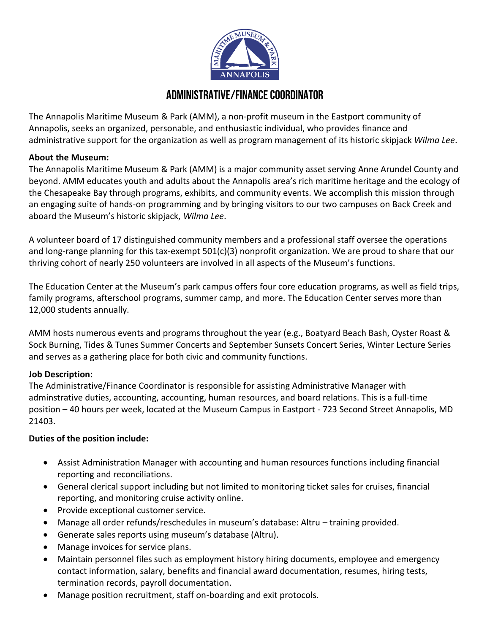

# **Administrative/Finance Coordinator**

The Annapolis Maritime Museum & Park (AMM), a non-profit museum in the Eastport community of Annapolis, seeks an organized, personable, and enthusiastic individual, who provides finance and administrative support for the organization as well as program management of its historic skipjack *Wilma Lee*.

### **About the Museum:**

The Annapolis Maritime Museum & Park (AMM) is a major community asset serving Anne Arundel County and beyond. AMM educates youth and adults about the Annapolis area's rich maritime heritage and the ecology of the Chesapeake Bay through programs, exhibits, and community events. We accomplish this mission through an engaging suite of hands-on programming and by bringing visitors to our two campuses on Back Creek and aboard the Museum's historic skipjack, *Wilma Lee*.

A volunteer board of 17 distinguished community members and a professional staff oversee the operations and long-range planning for this tax-exempt 501(c)(3) nonprofit organization. We are proud to share that our thriving cohort of nearly 250 volunteers are involved in all aspects of the Museum's functions.

The Education Center at the Museum's park campus offers four core education programs, as well as field trips, family programs, afterschool programs, summer camp, and more. The Education Center serves more than 12,000 students annually.

AMM hosts numerous events and programs throughout the year (e.g., Boatyard Beach Bash, Oyster Roast & Sock Burning, Tides & Tunes Summer Concerts and September Sunsets Concert Series, Winter Lecture Series and serves as a gathering place for both civic and community functions.

### **Job Description:**

The Administrative/Finance Coordinator is responsible for assisting Administrative Manager with adminstrative duties, accounting, accounting, human resources, and board relations. This is a full-time position – 40 hours per week, located at the Museum Campus in Eastport - 723 Second Street Annapolis, MD 21403.

## **Duties of the position include:**

- Assist Administration Manager with accounting and human resources functions including financial reporting and reconciliations.
- General clerical support including but not limited to monitoring ticket sales for cruises, financial reporting, and monitoring cruise activity online.
- Provide exceptional customer service.
- Manage all order refunds/reschedules in museum's database: Altru training provided.
- Generate sales reports using museum's database (Altru).
- Manage invoices for service plans.
- Maintain personnel files such as employment history hiring documents, employee and emergency contact information, salary, benefits and financial award documentation, resumes, hiring tests, termination records, payroll documentation.
- Manage position recruitment, staff on-boarding and exit protocols.